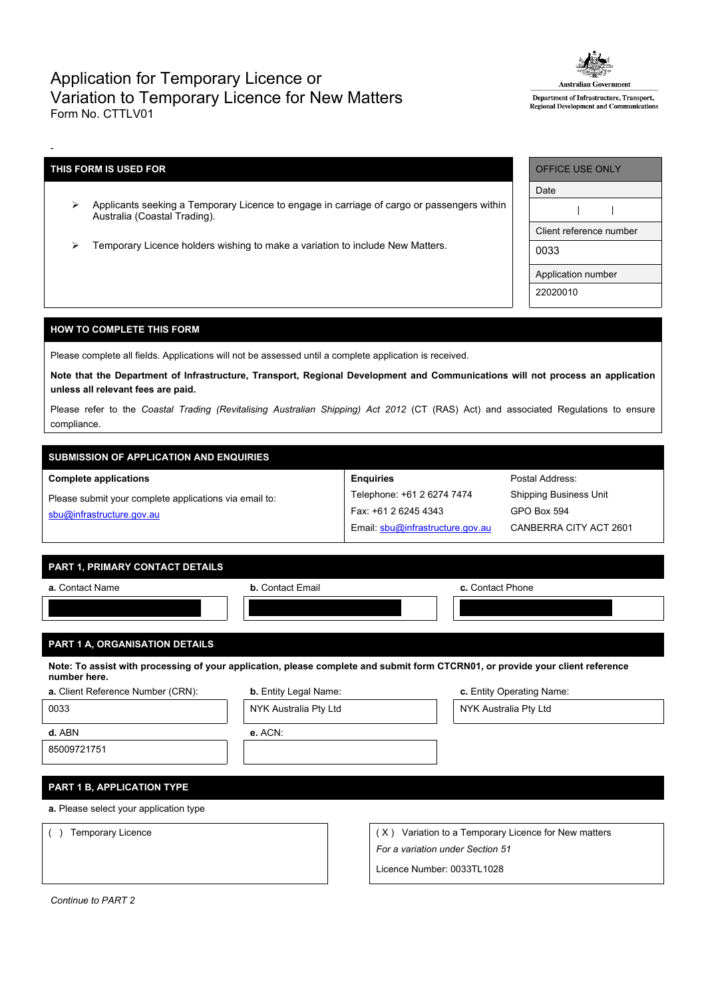## Application for Temporary Licence or Variation to Temporary Licence for New Matters Form No. CTTLV01



Department of Infrastructure, Transport, Regional Development and Communications

## **THIS FORM IS USED FOR**

-

- Applicants seeking a Temporary Licence to engage in carriage of cargo or passengers within Australia (Coastal Trading).
- Temporary Licence holders wishing to make a variation to include New Matters.

| OFFICE USE ONLY         |  |  |  |  |
|-------------------------|--|--|--|--|
| Date                    |  |  |  |  |
|                         |  |  |  |  |
| Client reference number |  |  |  |  |
| 0033                    |  |  |  |  |
| Application number      |  |  |  |  |
| 22020010                |  |  |  |  |

Postal Address: Shipping Business Unit

GPO Box 594

CANBERRA CITY ACT 2601

## **HOW TO COMPLETE THIS FORM**

Please complete all fields. Applications will not be assessed until a complete application is received.

Note that the Department of Infrastructure, Transport, Regional Development and Communications will not process an application **unless all relevant fees are paid.**

Please refer to the *Coastal Trading (Revitalising Australian Shipping) Act 2012* (CT (RAS) Act) and associated Regulations to ensure compliance.

**Enquiries**

Telephone: +61 2 6274 7474 Fax: +61 2 6245 4343

Email: [sbu@infrastructure.gov.au](mailto:sbu@infrastructure.gov.au)

# **SUBMISSION OF APPLICATION AND ENQUIRIES**

#### **Complete applications**

Please submit your complete applications via email to: [sbu@infrastructure.gov.au](mailto:sbu@infrastructure.gov.au)

|  | PART 1. PRIMARY CONTACT DETAILS ' |  |
|--|-----------------------------------|--|
|  |                                   |  |

| a. Contact Name | <b>b.</b> Contact Email | c. Contact Phone |  |  |
|-----------------|-------------------------|------------------|--|--|
|                 |                         |                  |  |  |

## **PART 1 A, ORGANISATION DETAILS**

Note: To assist with processing of your application, please complete and submit form CTCRN01, or provide your client reference **number here.**

| a. Client Reference Number (CRN):      | b. Entity Legal Name: |                                  | c. Entity Operating Name:                            |  |  |  |
|----------------------------------------|-----------------------|----------------------------------|------------------------------------------------------|--|--|--|
| 0033                                   | NYK Australia Pty Ltd |                                  | NYK Australia Pty Ltd                                |  |  |  |
| d. ABN                                 | $e.$ ACN:             |                                  |                                                      |  |  |  |
| 85009721751                            |                       |                                  |                                                      |  |  |  |
|                                        |                       |                                  |                                                      |  |  |  |
| PART 1 B, APPLICATION TYPE             |                       |                                  |                                                      |  |  |  |
| a. Please select your application type |                       |                                  |                                                      |  |  |  |
| Temporary Licence                      |                       |                                  | (X) Variation to a Temporary Licence for New matters |  |  |  |
|                                        |                       | For a variation under Section 51 |                                                      |  |  |  |
|                                        |                       | Licence Number: 0033TL1028       |                                                      |  |  |  |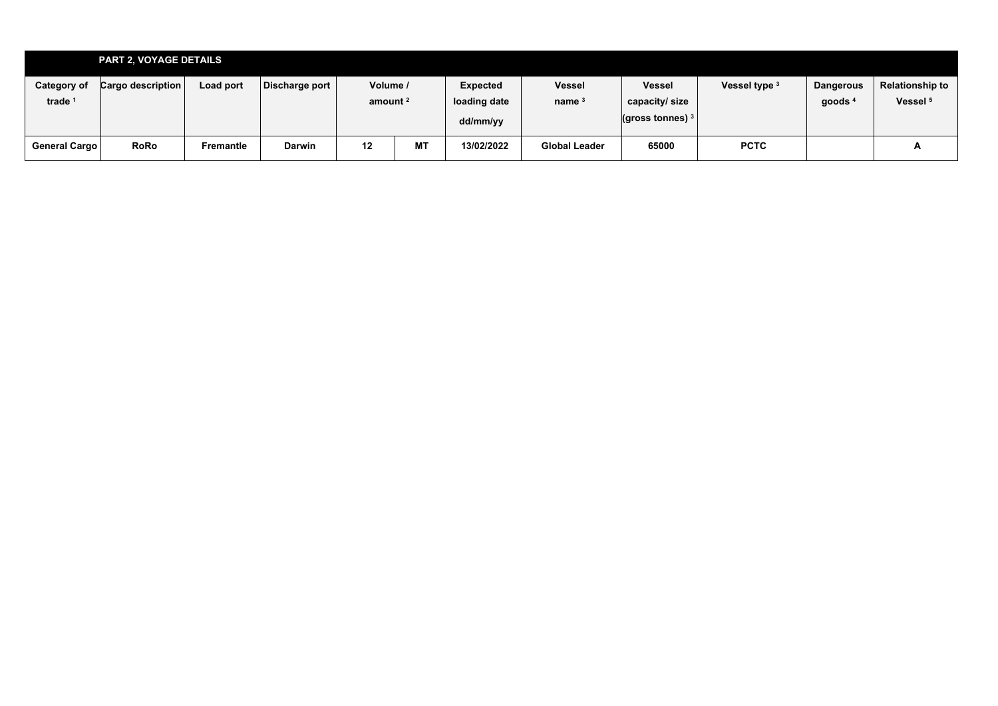|                                          | <b>PART 2, VOYAGE DETAILS</b> |           |                |                        |           |                                      |                           |                                                         |               |                               |                                        |
|------------------------------------------|-------------------------------|-----------|----------------|------------------------|-----------|--------------------------------------|---------------------------|---------------------------------------------------------|---------------|-------------------------------|----------------------------------------|
| <b>Category of</b><br>trade <sup>1</sup> | <b>Cargo description</b>      | Load port | Discharge port | Volume /<br>amount $2$ |           | Expected<br>loading date<br>dd/mm/yy | <b>Vessel</b><br>name $3$ | <b>Vessel</b><br>capacity/size<br>$($ gross tonnes) $3$ | Vessel type 3 | <b>Dangerous</b><br>goods $4$ | Relationship to<br>Vessel <sup>5</sup> |
| General Cargo                            | <b>RoRo</b>                   | Fremantle | <b>Darwin</b>  | 12                     | <b>MT</b> | 13/02/2022                           | <b>Global Leader</b>      | 65000                                                   | <b>PCTC</b>   |                               | A                                      |